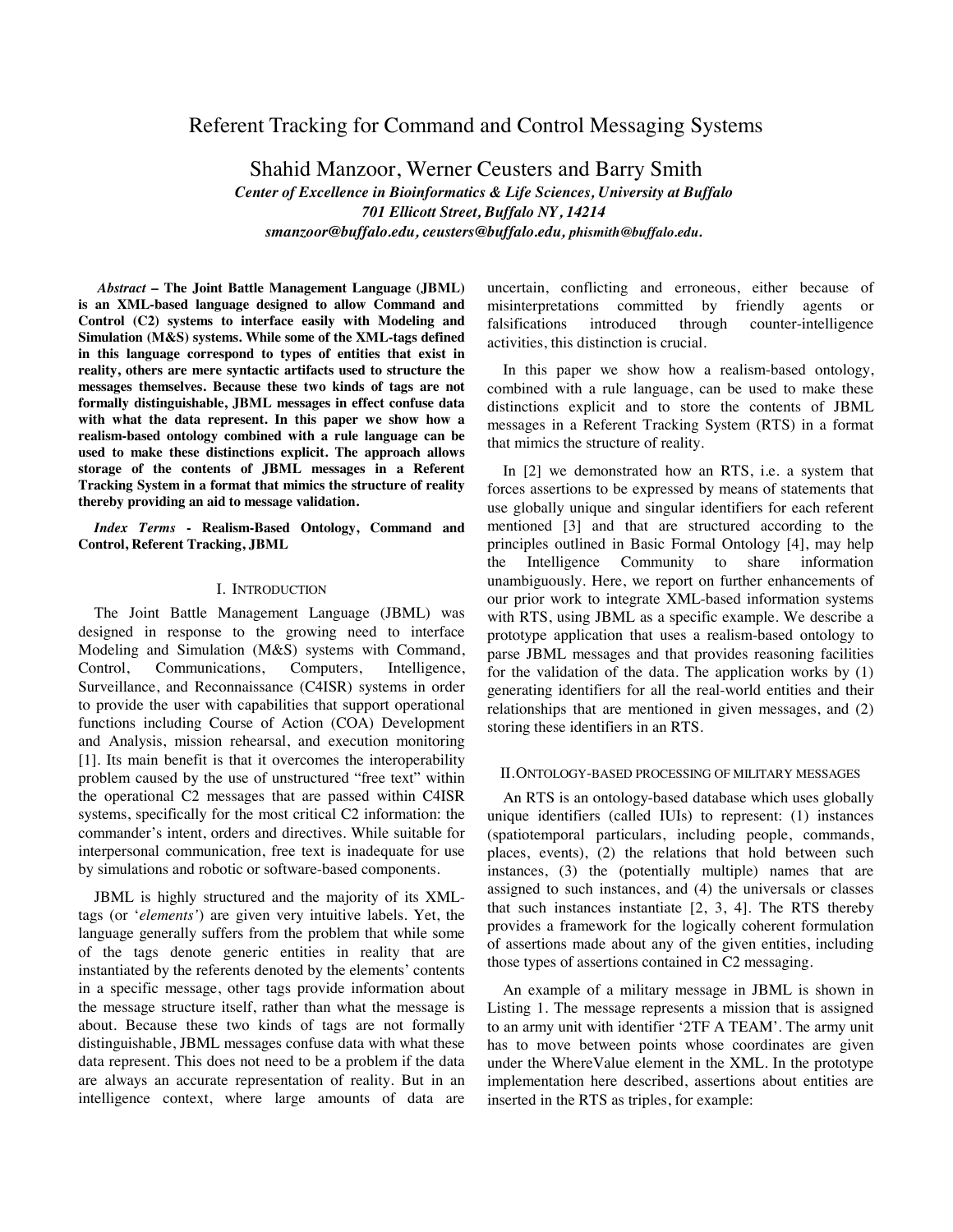# Referent Tracking for Command and Control Messaging Systems

Shahid Manzoor, Werner Ceusters and Barry Smith *Center of Excellence in Bioinformatics & Life Sciences, University at Buffalo 701 Ellicott Street, Buffalo NY, 14214 smanzoor@buffalo.edu, ceusters@buffalo.edu, phismith@buffalo.edu.* 

 *Abstract* **– The Joint Battle Management Language (JBML) is an XML-based language designed to allow Command and Control (C2) systems to interface easily with Modeling and Simulation (M&S) systems. While some of the XML-tags defined in this language correspond to types of entities that exist in reality, others are mere syntactic artifacts used to structure the messages themselves. Because these two kinds of tags are not formally distinguishable, JBML messages in effect confuse data with what the data represent. In this paper we show how a realism-based ontology combined with a rule language can be used to make these distinctions explicit. The approach allows storage of the contents of JBML messages in a Referent Tracking System in a format that mimics the structure of reality thereby providing an aid to message validation.** 

*Index Terms* **- Realism-Based Ontology, Command and Control, Referent Tracking, JBML** 

#### I. INTRODUCTION

The Joint Battle Management Language (JBML) was designed in response to the growing need to interface Modeling and Simulation (M&S) systems with Command, Control, Communications, Computers, Intelligence, Surveillance, and Reconnaissance (C4ISR) systems in order to provide the user with capabilities that support operational functions including Course of Action (COA) Development and Analysis, mission rehearsal, and execution monitoring [1]. Its main benefit is that it overcomes the interoperability problem caused by the use of unstructured "free text" within the operational C2 messages that are passed within C4ISR systems, specifically for the most critical C2 information: the commander's intent, orders and directives. While suitable for interpersonal communication, free text is inadequate for use by simulations and robotic or software-based components.

JBML is highly structured and the majority of its XMLtags (or '*elements'*) are given very intuitive labels. Yet, the language generally suffers from the problem that while some of the tags denote generic entities in reality that are instantiated by the referents denoted by the elements' contents in a specific message, other tags provide information about the message structure itself, rather than what the message is about. Because these two kinds of tags are not formally distinguishable, JBML messages confuse data with what these data represent. This does not need to be a problem if the data are always an accurate representation of reality. But in an intelligence context, where large amounts of data are uncertain, conflicting and erroneous, either because of misinterpretations committed by friendly agents or falsifications introduced through counter-intelligence activities, this distinction is crucial.

In this paper we show how a realism-based ontology, combined with a rule language, can be used to make these distinctions explicit and to store the contents of JBML messages in a Referent Tracking System (RTS) in a format that mimics the structure of reality.

In [2] we demonstrated how an RTS, i.e. a system that forces assertions to be expressed by means of statements that use globally unique and singular identifiers for each referent mentioned [3] and that are structured according to the principles outlined in Basic Formal Ontology [4], may help the Intelligence Community to share information unambiguously. Here, we report on further enhancements of our prior work to integrate XML-based information systems with RTS, using JBML as a specific example. We describe a prototype application that uses a realism-based ontology to parse JBML messages and that provides reasoning facilities for the validation of the data. The application works by (1) generating identifiers for all the real-world entities and their relationships that are mentioned in given messages, and (2) storing these identifiers in an RTS.

### II.ONTOLOGY-BASED PROCESSING OF MILITARY MESSAGES

An RTS is an ontology-based database which uses globally unique identifiers (called IUIs) to represent: (1) instances (spatiotemporal particulars, including people, commands, places, events), (2) the relations that hold between such instances, (3) the (potentially multiple) names that are assigned to such instances, and (4) the universals or classes that such instances instantiate [2, 3, 4]. The RTS thereby provides a framework for the logically coherent formulation of assertions made about any of the given entities, including those types of assertions contained in C2 messaging.

An example of a military message in JBML is shown in Listing 1. The message represents a mission that is assigned to an army unit with identifier '2TF A TEAM'. The army unit has to move between points whose coordinates are given under the WhereValue element in the XML. In the prototype implementation here described, assertions about entities are inserted in the RTS as triples, for example: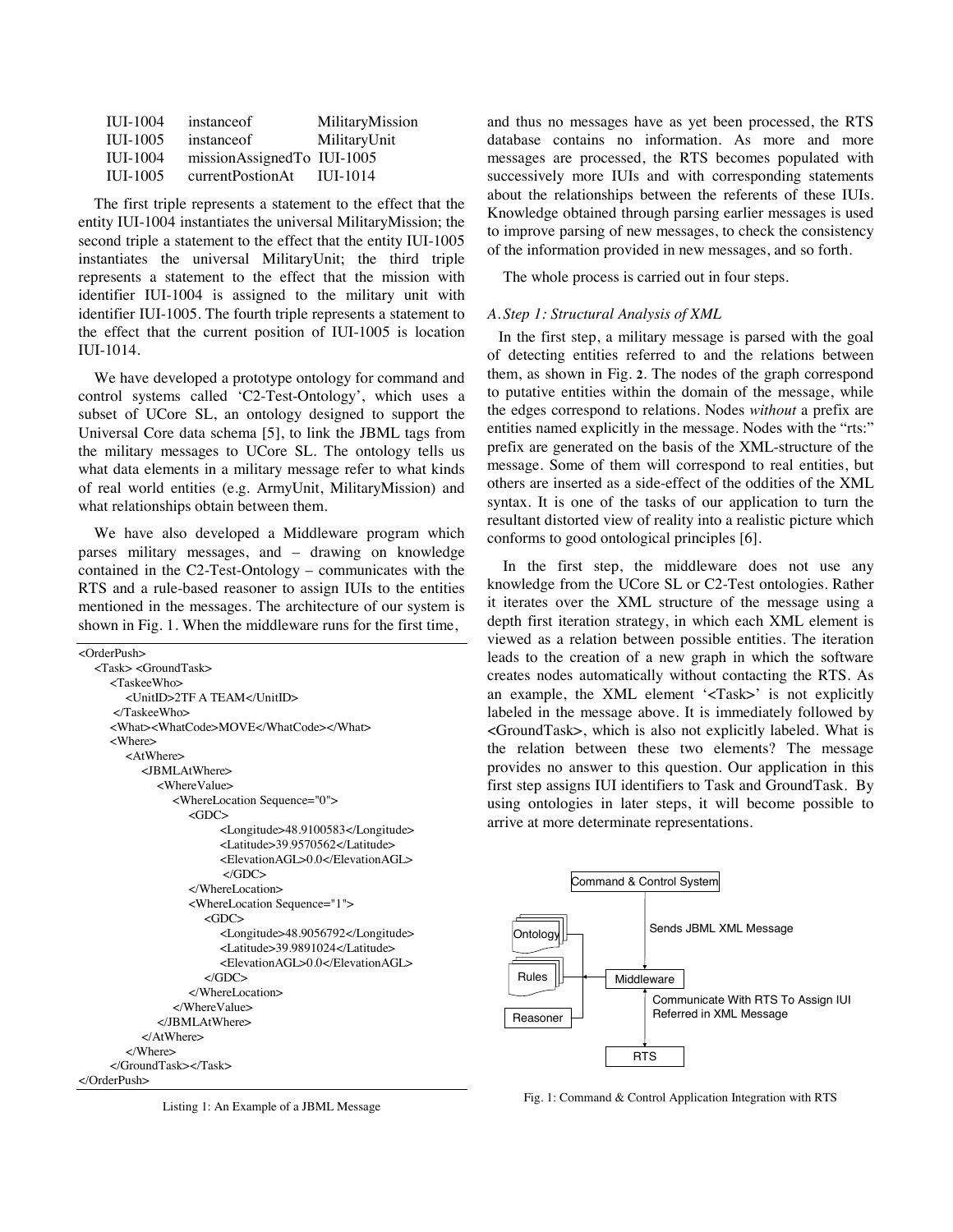| IUL-1004        | instance of                | MilitaryMission |
|-----------------|----------------------------|-----------------|
| IUL-1005        | instance of                | MilitaryUnit    |
| <b>IUL-1004</b> | missionAssignedTo IUI-1005 |                 |
| IUL-1005        | currentPostionAt           | IUL-1014        |

The first triple represents a statement to the effect that the entity IUI-1004 instantiates the universal MilitaryMission; the second triple a statement to the effect that the entity IUI-1005 instantiates the universal MilitaryUnit; the third triple represents a statement to the effect that the mission with identifier IUI-1004 is assigned to the military unit with identifier IUI-1005. The fourth triple represents a statement to the effect that the current position of IUI-1005 is location IUI-1014.

We have developed a prototype ontology for command and control systems called 'C2-Test-Ontology', which uses a subset of UCore SL, an ontology designed to support the Universal Core data schema [5], to link the JBML tags from the military messages to UCore SL. The ontology tells us what data elements in a military message refer to what kinds of real world entities (e.g. ArmyUnit, MilitaryMission) and what relationships obtain between them.

We have also developed a Middleware program which parses military messages, and – drawing on knowledge contained in the C2-Test-Ontology – communicates with the RTS and a rule-based reasoner to assign IUIs to the entities mentioned in the messages. The architecture of our system is shown in Fig. 1. When the middleware runs for the first time,

| <orderpush></orderpush>                              |
|------------------------------------------------------|
| <task> <groundtask></groundtask></task>              |
| $<$ TaskeeWho $>$                                    |
| <unitid>2TF A TEAM</unitid>                          |
|                                                      |
| <what><whatcode>MOVE</whatcode></what>               |
| <where></where>                                      |
| <atwhere></atwhere>                                  |
| $\langle$ IBMLAtWhere $\rangle$                      |
| <wherevalue></wherevalue>                            |
| <wherelocation sequence="0"></wherelocation>         |
| $\langle$ GDC $>$                                    |
| <longitude>48.9100583</longitude>                    |
| <latitude>39.9570562</latitude>                      |
| $\leq$ Elevation AGI $> 0.0 \leq$ /Elevation AGI $>$ |
| $\langle$ GDC>                                       |
| $\leq$ /WhereLocation>                               |
| <wherelocation sequence="1"></wherelocation>         |
| $<$ GDC>                                             |
| <longitude>48.9056792</longitude>                    |
| <latitude>39.9891024</latitude>                      |
| $\leq$ Elevation AGI $> 0.0 \leq$ /Elevation AGI $>$ |
| $\langle$ GDC>                                       |
| $\leq$ /WhereLocation>                               |
|                                                      |
|                                                      |
| $<$ /AtWhere>                                        |
| $\langle$ /Where $\rangle$                           |
|                                                      |
|                                                      |

and thus no messages have as yet been processed, the RTS database contains no information. As more and more messages are processed, the RTS becomes populated with successively more IUIs and with corresponding statements about the relationships between the referents of these IUIs. Knowledge obtained through parsing earlier messages is used to improve parsing of new messages, to check the consistency of the information provided in new messages, and so forth.

The whole process is carried out in four steps.

### *A. Step 1: Structural Analysis of XML*

In the first step, a military message is parsed with the goal of detecting entities referred to and the relations between them, as shown in Fig. **2**. The nodes of the graph correspond to putative entities within the domain of the message, while the edges correspond to relations. Nodes *without* a prefix are entities named explicitly in the message. Nodes with the "rts:" prefix are generated on the basis of the XML-structure of the message. Some of them will correspond to real entities, but others are inserted as a side-effect of the oddities of the XML syntax. It is one of the tasks of our application to turn the resultant distorted view of reality into a realistic picture which conforms to good ontological principles [6].

In the first step, the middleware does not use any knowledge from the UCore SL or C2-Test ontologies. Rather it iterates over the XML structure of the message using a depth first iteration strategy, in which each XML element is viewed as a relation between possible entities. The iteration leads to the creation of a new graph in which the software creates nodes automatically without contacting the RTS. As an example, the XML element '<Task>' is not explicitly labeled in the message above. It is immediately followed by <GroundTask>, which is also not explicitly labeled. What is the relation between these two elements? The message provides no answer to this question. Our application in this first step assigns IUI identifiers to Task and GroundTask. By using ontologies in later steps, it will become possible to arrive at more determinate representations.



Fig. 1: Command & Control Application Integration with RTS

Listing 1: An Example of a JBML Message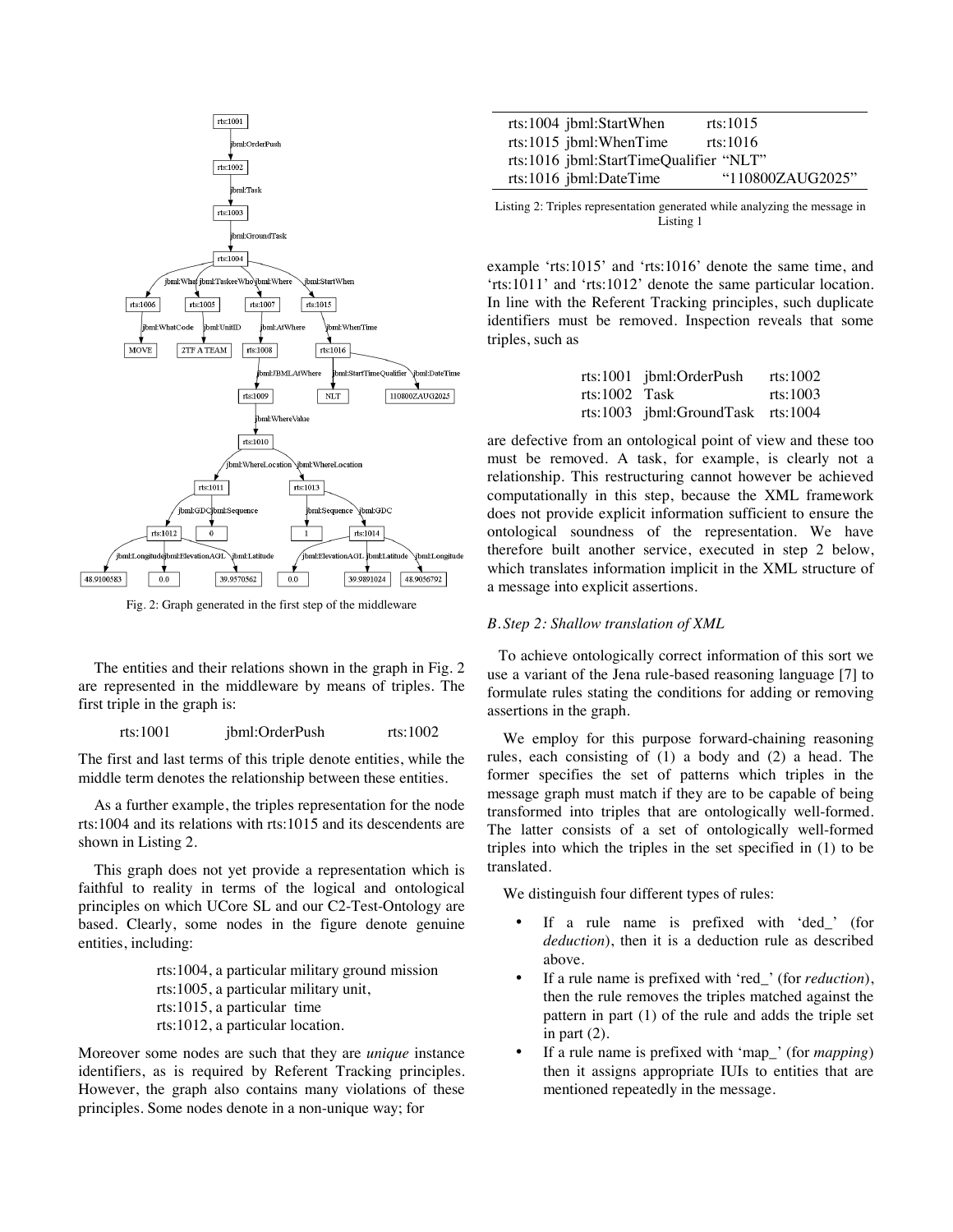

Fig. 2: Graph generated in the first step of the middleware

The entities and their relations shown in the graph in Fig. 2 are represented in the middleware by means of triples. The first triple in the graph is:

rts:1001 jbml:OrderPush rts:1002

The first and last terms of this triple denote entities, while the middle term denotes the relationship between these entities.

As a further example, the triples representation for the node rts:1004 and its relations with rts:1015 and its descendents are shown in Listing 2.

This graph does not yet provide a representation which is faithful to reality in terms of the logical and ontological principles on which UCore SL and our C2-Test-Ontology are based. Clearly, some nodes in the figure denote genuine entities, including:

> rts:1004, a particular military ground mission rts:1005, a particular military unit, rts:1015, a particular time rts:1012, a particular location.

Moreover some nodes are such that they are *unique* instance identifiers, as is required by Referent Tracking principles. However, the graph also contains many violations of these principles. Some nodes denote in a non-unique way; for

| rts:1004 jbml:StartWhen                | rts: $1015$      |  |  |
|----------------------------------------|------------------|--|--|
| rts:1015 jbml:WhenTime                 | rts:1016         |  |  |
| rts:1016 jbml:StartTimeQualifier "NLT" |                  |  |  |
| rts:1016 jbml:DateTime                 | "110800ZAUG2025" |  |  |

Listing 2: Triples representation generated while analyzing the message in Listing 1

example 'rts:1015' and 'rts:1016' denote the same time, and 'rts:1011' and 'rts:1012' denote the same particular location. In line with the Referent Tracking principles, such duplicate identifiers must be removed. Inspection reveals that some triples, such as

|                 | rts:1001 jbml:OrderPush           | rts: $1002$ |
|-----------------|-----------------------------------|-------------|
| rts:1002 $Task$ |                                   | rts: $1003$ |
|                 | rts:1003 jbml:GroundTask rts:1004 |             |

are defective from an ontological point of view and these too must be removed. A task, for example, is clearly not a relationship. This restructuring cannot however be achieved computationally in this step, because the XML framework does not provide explicit information sufficient to ensure the ontological soundness of the representation. We have therefore built another service, executed in step 2 below, which translates information implicit in the XML structure of a message into explicit assertions.

### *B. Step 2: Shallow translation of XML*

To achieve ontologically correct information of this sort we use a variant of the Jena rule-based reasoning language [7] to formulate rules stating the conditions for adding or removing assertions in the graph.

We employ for this purpose forward-chaining reasoning rules, each consisting of (1) a body and (2) a head. The former specifies the set of patterns which triples in the message graph must match if they are to be capable of being transformed into triples that are ontologically well-formed. The latter consists of a set of ontologically well-formed triples into which the triples in the set specified in (1) to be translated.

We distinguish four different types of rules:

- If a rule name is prefixed with 'ded\_' (for *deduction*), then it is a deduction rule as described above.
- If a rule name is prefixed with 'red ' (for *reduction*), then the rule removes the triples matched against the pattern in part (1) of the rule and adds the triple set in part  $(2)$ .
- If a rule name is prefixed with 'map\_' (for *mapping*) then it assigns appropriate IUIs to entities that are mentioned repeatedly in the message.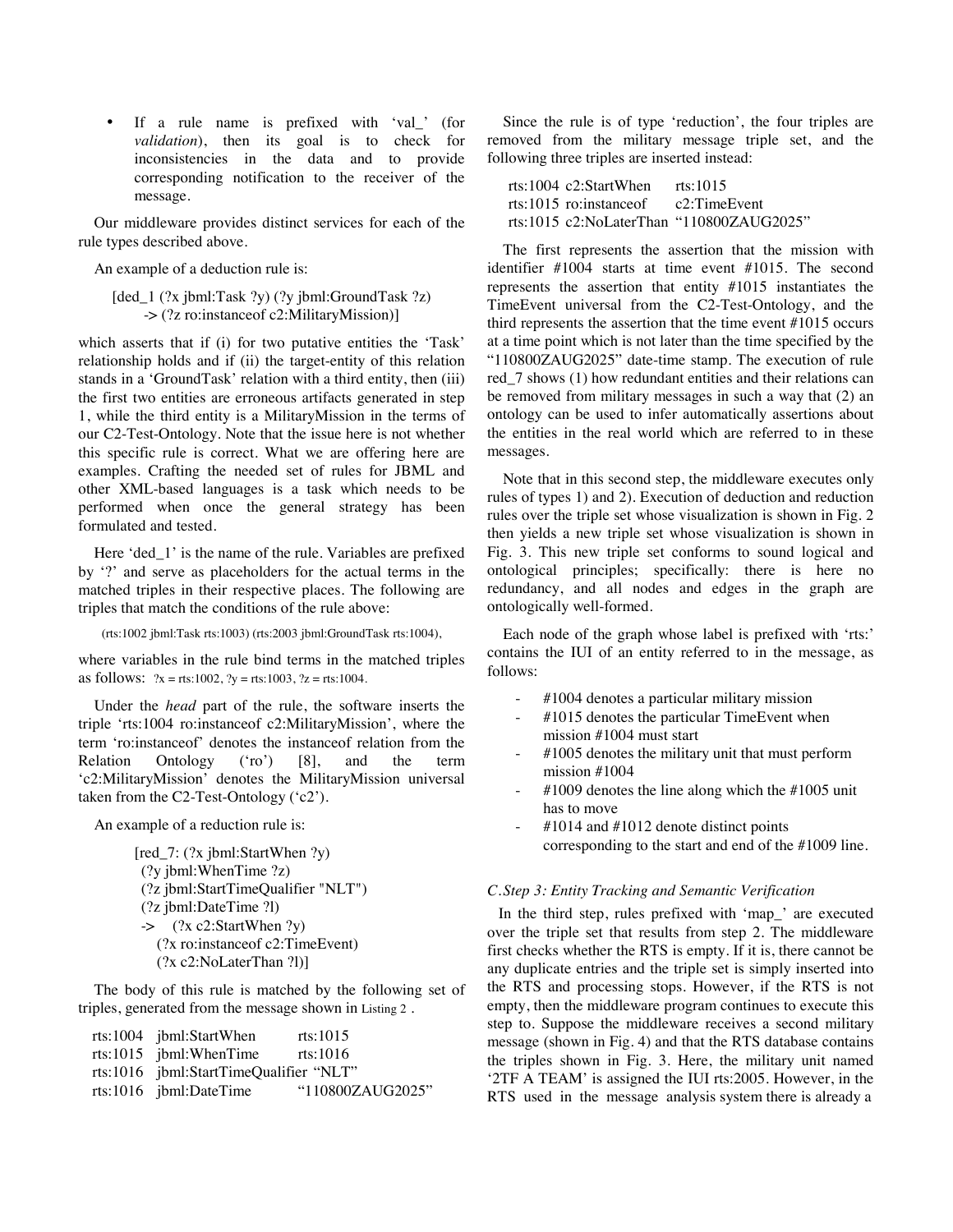• If a rule name is prefixed with 'val\_' (for *validation*), then its goal is to check for inconsistencies in the data and to provide corresponding notification to the receiver of the message.

Our middleware provides distinct services for each of the rule types described above.

An example of a deduction rule is:

[ded\_1 (?x jbml:Task ?y) (?y jbml:GroundTask ?z) -> (?z ro:instanceof c2:MilitaryMission)]

which asserts that if (i) for two putative entities the 'Task' relationship holds and if (ii) the target-entity of this relation stands in a 'GroundTask' relation with a third entity, then (iii) the first two entities are erroneous artifacts generated in step 1, while the third entity is a MilitaryMission in the terms of our C2-Test-Ontology. Note that the issue here is not whether this specific rule is correct. What we are offering here are examples. Crafting the needed set of rules for JBML and other XML-based languages is a task which needs to be performed when once the general strategy has been formulated and tested.

Here 'ded\_1' is the name of the rule. Variables are prefixed by '?' and serve as placeholders for the actual terms in the matched triples in their respective places. The following are triples that match the conditions of the rule above:

(rts:1002 jbml:Task rts:1003) (rts:2003 jbml:GroundTask rts:1004),

where variables in the rule bind terms in the matched triples as follows:  $?x = rts:1002, ?y = rts:1003, ?z = rts:1004$ .

Under the *head* part of the rule, the software inserts the triple 'rts:1004 ro:instanceof c2:MilitaryMission', where the term 'ro:instanceof' denotes the instanceof relation from the Relation Ontology ('ro') [8], and the term 'c2:MilitaryMission' denotes the MilitaryMission universal taken from the C2-Test-Ontology ('c2').

An example of a reduction rule is:

[red\_7: (?x jbml:StartWhen ?y) (?y jbml:WhenTime ?z) (?z jbml:StartTimeQualifier "NLT") (?z jbml:DateTime ?l) -> (?x c2:StartWhen ?y) (?x ro:instanceof c2:TimeEvent) (?x c2:NoLaterThan ?l)]

The body of this rule is matched by the following set of triples, generated from the message shown in Listing 2 .

| rts:1004 jbml:StartWhen                | rts: $1015$      |
|----------------------------------------|------------------|
| $rts:1015$ jbml: When Time             | rts:1016         |
| rts:1016 jbml:StartTimeQualifier "NLT" |                  |
| $rts:1016$ jbml:DateTime               | "110800ZAUG2025" |

Since the rule is of type 'reduction', the four triples are removed from the military message triple set, and the following three triples are inserted instead:

rts:1004 c2:StartWhen rts:1015 rts:1015 ro:instanceof c2:TimeEvent rts:1015 c2:NoLaterThan "110800ZAUG2025"

The first represents the assertion that the mission with identifier #1004 starts at time event #1015. The second represents the assertion that entity #1015 instantiates the TimeEvent universal from the C2-Test-Ontology, and the third represents the assertion that the time event #1015 occurs at a time point which is not later than the time specified by the "110800ZAUG2025" date-time stamp. The execution of rule red 7 shows (1) how redundant entities and their relations can be removed from military messages in such a way that (2) an ontology can be used to infer automatically assertions about the entities in the real world which are referred to in these messages.

Note that in this second step, the middleware executes only rules of types 1) and 2). Execution of deduction and reduction rules over the triple set whose visualization is shown in Fig. 2 then yields a new triple set whose visualization is shown in Fig. 3. This new triple set conforms to sound logical and ontological principles; specifically: there is here no redundancy, and all nodes and edges in the graph are ontologically well-formed.

Each node of the graph whose label is prefixed with 'rts:' contains the IUI of an entity referred to in the message, as follows:

- #1004 denotes a particular military mission
- #1015 denotes the particular TimeEvent when mission #1004 must start
- #1005 denotes the military unit that must perform mission #1004
- $#1009$  denotes the line along which the  $#1005$  unit has to move
- #1014 and #1012 denote distinct points corresponding to the start and end of the #1009 line.

## *C.Step 3: Entity Tracking and Semantic Verification*

In the third step, rules prefixed with 'map\_' are executed over the triple set that results from step 2. The middleware first checks whether the RTS is empty. If it is, there cannot be any duplicate entries and the triple set is simply inserted into the RTS and processing stops. However, if the RTS is not empty, then the middleware program continues to execute this step to. Suppose the middleware receives a second military message (shown in Fig. 4) and that the RTS database contains the triples shown in Fig. 3. Here, the military unit named '2TF A TEAM' is assigned the IUI rts:2005. However, in the RTS used in the message analysis system there is already a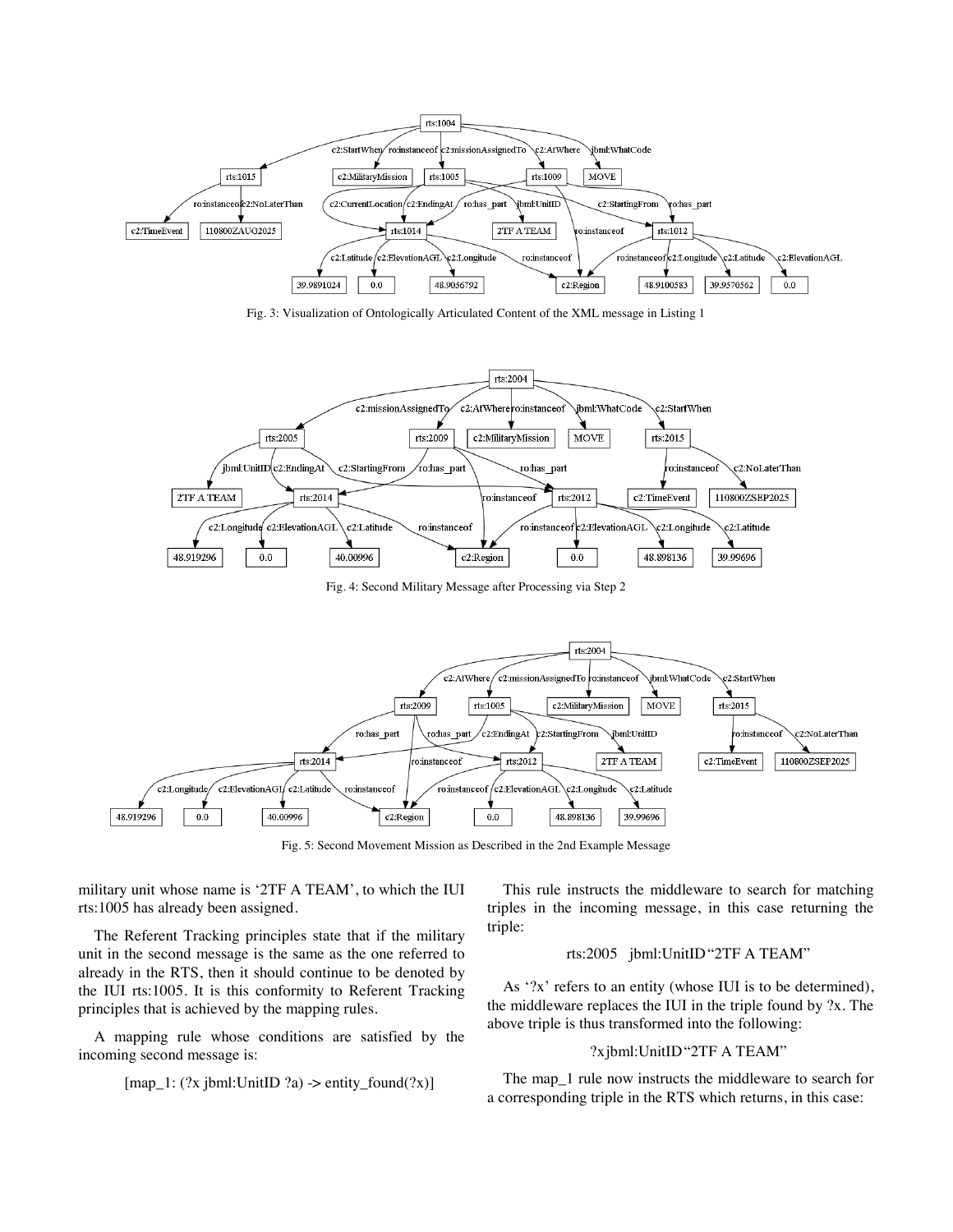

Fig. 3: Visualization of Ontologically Articulated Content of the XML message in Listing 1



Fig. 4: Second Military Message after Processing via Step 2



Fig. 5: Second Movement Mission as Described in the 2nd Example Message

military unit whose name is '2TF A TEAM', to which the IUI rts:1005 has already been assigned.

The Referent Tracking principles state that if the military unit in the second message is the same as the one referred to already in the RTS, then it should continue to be denoted by the IUI rts:1005. It is this conformity to Referent Tracking principles that is achieved by the mapping rules.

A mapping rule whose conditions are satisfied by the incoming second message is:

$$
[map_1: (?x_jbml:UnitID ?a) \rightarrow entity\_found(?x)]
$$

This rule instructs the middleware to search for matching triples in the incoming message, in this case returning the triple:

#### rts:2005 jbml:UnitID "2TF A TEAM"

As '?x' refers to an entity (whose IUI is to be determined), the middleware replaces the IUI in the triple found by ?x. The above triple is thus transformed into the following:

#### ?x jbml:UnitID "2TF A TEAM"

The map\_1 rule now instructs the middleware to search for a corresponding triple in the RTS which returns, in this case: